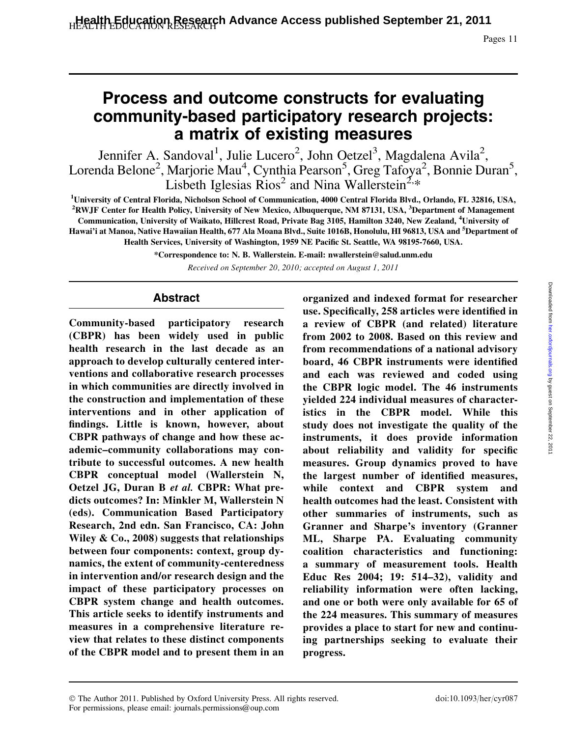Pages 11

# Process and outcome constructs for evaluating community-based participatory research projects: a matrix of existing measures

Jennifer A. Sandoval<sup>1</sup>, Julie Lucero<sup>2</sup>, John Oetzel<sup>3</sup>, Magdalena Avila<sup>2</sup>, Lorenda Belone<sup>2</sup>, Marjorie Mau<sup>4</sup>, Cynthia Pearson<sup>5</sup>, Greg Tafoya<sup>2</sup>, Bonnie Duran<sup>5</sup>, Lisbeth Iglesias  $Rios<sup>2</sup>$  and Nina Wallerstein<sup>2,\*</sup>

1 University of Central Florida, Nicholson School of Communication, 4000 Central Florida Blvd., Orlando, FL 32816, USA, <sup>2</sup>RWJF Center for Health Policy, University of New Mexico, Albuquerque, NM 87131, USA, <sup>3</sup>Department of Management Communication, University of Waikato, Hillcrest Road, Private Bag 3105, Hamilton 3240, New Zealand, <sup>4</sup> University of Hawai'i at Manoa, Native Hawaiian Health, 677 Ala Moana Blvd., Suite 1016B, Honolulu, HI 96813, USA and <sup>5</sup>Department of Health Services, University of Washington, 1959 NE Pacific St. Seattle, WA 98195-7660, USA.

\*Correspondence to: N. B. Wallerstein. E-mail: nwallerstein@salud.unm.edu

Received on September 20, 2010; accepted on August 1, 2011

#### Abstract

Community-based participatory research (CBPR) has been widely used in public health research in the last decade as an approach to develop culturally centered interventions and collaborative research processes in which communities are directly involved in the construction and implementation of these interventions and in other application of findings. Little is known, however, about CBPR pathways of change and how these academic–community collaborations may contribute to successful outcomes. A new health CBPR conceptual model (Wallerstein N, Oetzel JG, Duran B et al. CBPR: What predicts outcomes? In: Minkler M, Wallerstein N (eds). Communication Based Participatory Research, 2nd edn. San Francisco, CA: John Wiley & Co., 2008) suggests that relationships between four components: context, group dynamics, the extent of community-centeredness in intervention and/or research design and the impact of these participatory processes on CBPR system change and health outcomes. This article seeks to identify instruments and measures in a comprehensive literature review that relates to these distinct components of the CBPR model and to present them in an organized and indexed format for researcher use. Specifically, 258 articles were identified in a review of CBPR (and related) literature from 2002 to 2008. Based on this review and from recommendations of a national advisory board, 46 CBPR instruments were identified and each was reviewed and coded using the CBPR logic model. The 46 instruments yielded 224 individual measures of characteristics in the CBPR model. While this study does not investigate the quality of the instruments, it does provide information about reliability and validity for specific measures. Group dynamics proved to have the largest number of identified measures, while context and CBPR system and health outcomes had the least. Consistent with other summaries of instruments, such as Granner and Sharpe's inventory (Granner ML, Sharpe PA. Evaluating community coalition characteristics and functioning: a summary of measurement tools. Health Educ Res 2004; 19: 514–32), validity and reliability information were often lacking, and one or both were only available for 65 of the 224 measures. This summary of measures provides a place to start for new and continuing partnerships seeking to evaluate their progress.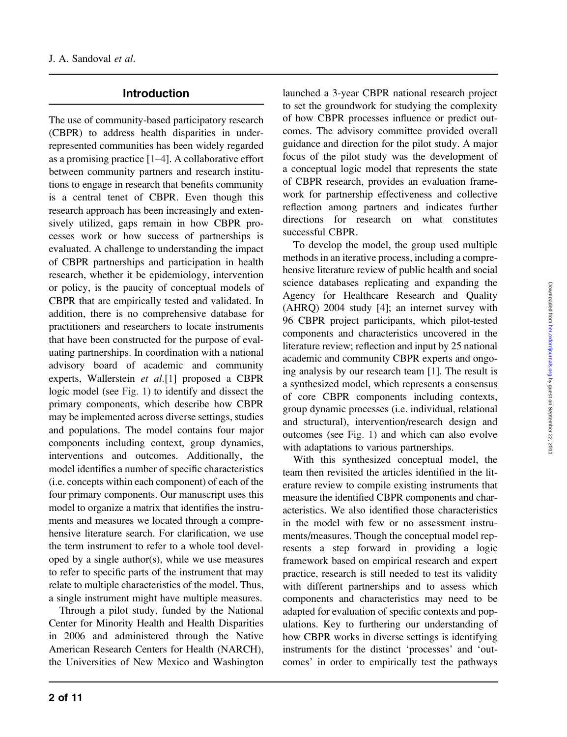## Introduction

The use of community-based participatory research (CBPR) to address health disparities in underrepresented communities has been widely regarded as a promising practice [[1–](#page-9-0)[4\]](#page-10-0). A collaborative effort between community partners and research institutions to engage in research that benefits community is a central tenet of CBPR. Even though this research approach has been increasingly and extensively utilized, gaps remain in how CBPR processes work or how success of partnerships is evaluated. A challenge to understanding the impact of CBPR partnerships and participation in health research, whether it be epidemiology, intervention or policy, is the paucity of conceptual models of CBPR that are empirically tested and validated. In addition, there is no comprehensive database for practitioners and researchers to locate instruments that have been constructed for the purpose of evaluating partnerships. In coordination with a national advisory board of academic and community experts, Wallerstein et al.[[1\]](#page-9-0) proposed a CBPR logic model (see [Fig. 1](#page-2-0)) to identify and dissect the primary components, which describe how CBPR may be implemented across diverse settings, studies and populations. The model contains four major components including context, group dynamics, interventions and outcomes. Additionally, the model identifies a number of specific characteristics (i.e. concepts within each component) of each of the four primary components. Our manuscript uses this model to organize a matrix that identifies the instruments and measures we located through a comprehensive literature search. For clarification, we use the term instrument to refer to a whole tool developed by a single author(s), while we use measures to refer to specific parts of the instrument that may relate to multiple characteristics of the model. Thus, a single instrument might have multiple measures.

Through a pilot study, funded by the National Center for Minority Health and Health Disparities in 2006 and administered through the Native American Research Centers for Health (NARCH), the Universities of New Mexico and Washington launched a 3-year CBPR national research project to set the groundwork for studying the complexity of how CBPR processes influence or predict outcomes. The advisory committee provided overall guidance and direction for the pilot study. A major focus of the pilot study was the development of a conceptual logic model that represents the state of CBPR research, provides an evaluation framework for partnership effectiveness and collective reflection among partners and indicates further directions for research on what constitutes successful CBPR.

To develop the model, the group used multiple methods in an iterative process, including a comprehensive literature review of public health and social science databases replicating and expanding the Agency for Healthcare Research and Quality (AHRQ) 2004 study [\[4](#page-10-0)]; an internet survey with 96 CBPR project participants, which pilot-tested components and characteristics uncovered in the literature review; reflection and input by 25 national academic and community CBPR experts and ongoing analysis by our research team [\[1](#page-9-0)]. The result is a synthesized model, which represents a consensus of core CBPR components including contexts, group dynamic processes (i.e. individual, relational and structural), intervention/research design and outcomes (see [Fig. 1](#page-2-0)) and which can also evolve with adaptations to various partnerships.

With this synthesized conceptual model, the team then revisited the articles identified in the literature review to compile existing instruments that measure the identified CBPR components and characteristics. We also identified those characteristics in the model with few or no assessment instruments/measures. Though the conceptual model represents a step forward in providing a logic framework based on empirical research and expert practice, research is still needed to test its validity with different partnerships and to assess which components and characteristics may need to be adapted for evaluation of specific contexts and populations. Key to furthering our understanding of how CBPR works in diverse settings is identifying instruments for the distinct 'processes' and 'outcomes' in order to empirically test the pathways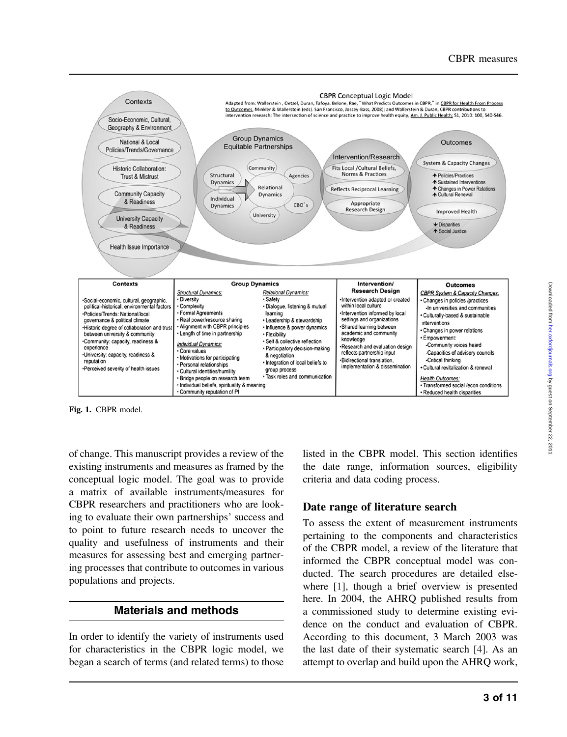<span id="page-2-0"></span>

Fig. 1. CBPR model.

of change. This manuscript provides a review of the existing instruments and measures as framed by the conceptual logic model. The goal was to provide a matrix of available instruments/measures for CBPR researchers and practitioners who are looking to evaluate their own partnerships' success and to point to future research needs to uncover the quality and usefulness of instruments and their measures for assessing best and emerging partnering processes that contribute to outcomes in various populations and projects.

# Materials and methods

In order to identify the variety of instruments used for characteristics in the CBPR logic model, we began a search of terms (and related terms) to those listed in the CBPR model. This section identifies the date range, information sources, eligibility criteria and data coding process.

# Date range of literature search

To assess the extent of measurement instruments pertaining to the components and characteristics of the CBPR model, a review of the literature that informed the CBPR conceptual model was conducted. The search procedures are detailed elsewhere [[1](#page-9-0)], though a brief overview is presented here. In 2004, the AHRQ published results from a commissioned study to determine existing evidence on the conduct and evaluation of CBPR. According to this document, 3 March 2003 was the last date of their systematic search [[4\]](#page-10-0). As an attempt to overlap and build upon the AHRQ work,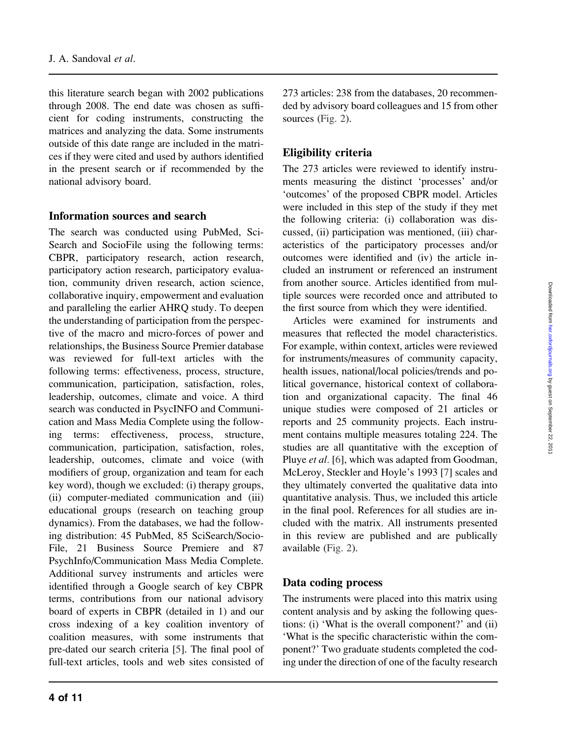this literature search began with 2002 publications through 2008. The end date was chosen as sufficient for coding instruments, constructing the matrices and analyzing the data. Some instruments outside of this date range are included in the matrices if they were cited and used by authors identified in the present search or if recommended by the national advisory board.

#### Information sources and search

The search was conducted using PubMed, Sci-Search and SocioFile using the following terms: CBPR, participatory research, action research, participatory action research, participatory evaluation, community driven research, action science, collaborative inquiry, empowerment and evaluation and paralleling the earlier AHRQ study. To deepen the understanding of participation from the perspective of the macro and micro-forces of power and relationships, the Business Source Premier database was reviewed for full-text articles with the following terms: effectiveness, process, structure, communication, participation, satisfaction, roles, leadership, outcomes, climate and voice. A third search was conducted in PsycINFO and Communication and Mass Media Complete using the following terms: effectiveness, process, structure, communication, participation, satisfaction, roles, leadership, outcomes, climate and voice (with modifiers of group, organization and team for each key word), though we excluded: (i) therapy groups, (ii) computer-mediated communication and (iii) educational groups (research on teaching group dynamics). From the databases, we had the following distribution: 45 PubMed, 85 SciSearch/Socio-File, 21 Business Source Premiere and 87 PsychInfo/Communication Mass Media Complete. Additional survey instruments and articles were identified through a Google search of key CBPR terms, contributions from our national advisory board of experts in CBPR (detailed in 1) and our cross indexing of a key coalition inventory of coalition measures, with some instruments that pre-dated our search criteria [\[5](#page-10-0)]. The final pool of full-text articles, tools and web sites consisted of 273 articles: 238 from the databases, 20 recommended by advisory board colleagues and 15 from other sources [\(Fig. 2\)](#page-4-0).

## Eligibility criteria

The 273 articles were reviewed to identify instruments measuring the distinct 'processes' and/or 'outcomes' of the proposed CBPR model. Articles were included in this step of the study if they met the following criteria: (i) collaboration was discussed, (ii) participation was mentioned, (iii) characteristics of the participatory processes and/or outcomes were identified and (iv) the article included an instrument or referenced an instrument from another source. Articles identified from multiple sources were recorded once and attributed to the first source from which they were identified.

Articles were examined for instruments and measures that reflected the model characteristics. For example, within context, articles were reviewed for instruments/measures of community capacity, health issues, national/local policies/trends and political governance, historical context of collaboration and organizational capacity. The final 46 unique studies were composed of 21 articles or reports and 25 community projects. Each instrument contains multiple measures totaling 224. The studies are all quantitative with the exception of Pluye et al. [\[6](#page-10-0)], which was adapted from Goodman, McLeroy, Steckler and Hoyle's 1993 [[7\]](#page-10-0) scales and they ultimately converted the qualitative data into quantitative analysis. Thus, we included this article in the final pool. References for all studies are included with the matrix. All instruments presented in this review are published and are publically available [\(Fig. 2\)](#page-4-0).

#### Data coding process

The instruments were placed into this matrix using content analysis and by asking the following questions: (i) 'What is the overall component?' and (ii) 'What is the specific characteristic within the component?' Two graduate students completed the coding under the direction of one of the faculty research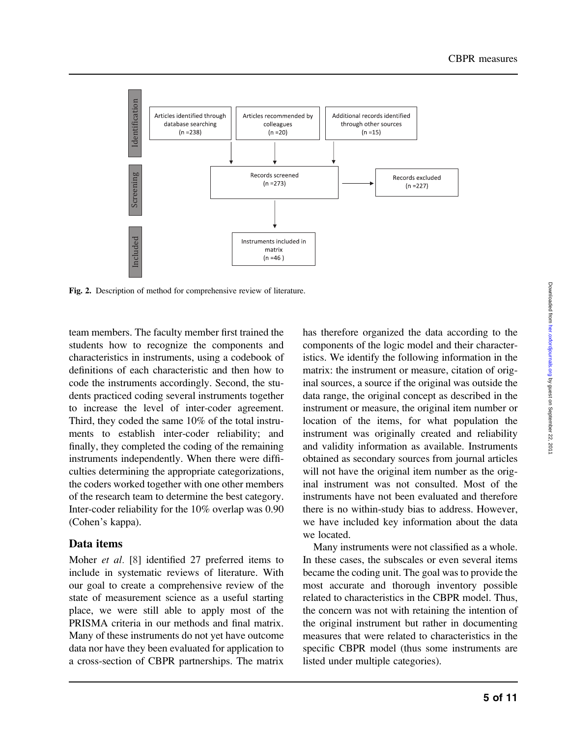<span id="page-4-0"></span>

Fig. 2. Description of method for comprehensive review of literature.

team members. The faculty member first trained the students how to recognize the components and characteristics in instruments, using a codebook of definitions of each characteristic and then how to code the instruments accordingly. Second, the students practiced coding several instruments together to increase the level of inter-coder agreement. Third, they coded the same 10% of the total instruments to establish inter-coder reliability; and finally, they completed the coding of the remaining instruments independently. When there were difficulties determining the appropriate categorizations, the coders worked together with one other members of the research team to determine the best category. Inter-coder reliability for the 10% overlap was 0.90 (Cohen's kappa).

#### Data items

Moher et al. [[8\]](#page-10-0) identified 27 preferred items to include in systematic reviews of literature. With our goal to create a comprehensive review of the state of measurement science as a useful starting place, we were still able to apply most of the PRISMA criteria in our methods and final matrix. Many of these instruments do not yet have outcome data nor have they been evaluated for application to a cross-section of CBPR partnerships. The matrix has therefore organized the data according to the components of the logic model and their characteristics. We identify the following information in the matrix: the instrument or measure, citation of original sources, a source if the original was outside the data range, the original concept as described in the instrument or measure, the original item number or location of the items, for what population the instrument was originally created and reliability and validity information as available. Instruments obtained as secondary sources from journal articles will not have the original item number as the original instrument was not consulted. Most of the instruments have not been evaluated and therefore there is no within-study bias to address. However, we have included key information about the data we located.

Many instruments were not classified as a whole. In these cases, the subscales or even several items became the coding unit. The goal was to provide the most accurate and thorough inventory possible related to characteristics in the CBPR model. Thus, the concern was not with retaining the intention of the original instrument but rather in documenting measures that were related to characteristics in the specific CBPR model (thus some instruments are listed under multiple categories).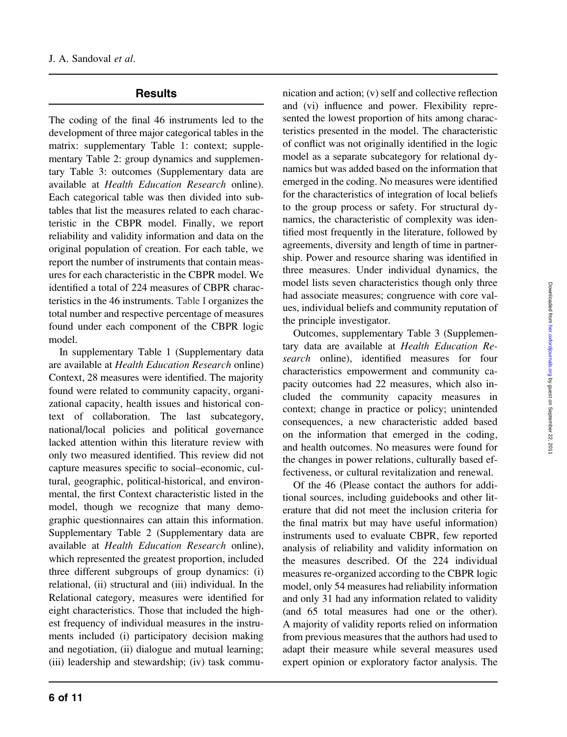### **Results**

The coding of the final 46 instruments led to the development of three major categorical tables in the matrix: supplementary Table 1: context; supplementary Table 2: group dynamics and supplementary Table 3: outcomes (Supplementary data are available at Health Education Research online). Each categorical table was then divided into subtables that list the measures related to each characteristic in the CBPR model. Finally, we report reliability and validity information and data on the original population of creation. For each table, we report the number of instruments that contain measures for each characteristic in the CBPR model. We identified a total of 224 measures of CBPR characteristics in the 46 instruments. [Table I](#page-6-0) organizes the total number and respective percentage of measures found under each component of the CBPR logic model.

In supplementary Table 1 (Supplementary data are available at Health Education Research online) Context, 28 measures were identified. The majority found were related to community capacity, organizational capacity, health issues and historical context of collaboration. The last subcategory, national/local policies and political governance lacked attention within this literature review with only two measured identified. This review did not capture measures specific to social–economic, cultural, geographic, political-historical, and environmental, the first Context characteristic listed in the model, though we recognize that many demographic questionnaires can attain this information. Supplementary Table 2 (Supplementary data are available at Health Education Research online), which represented the greatest proportion, included three different subgroups of group dynamics: (i) relational, (ii) structural and (iii) individual. In the Relational category, measures were identified for eight characteristics. Those that included the highest frequency of individual measures in the instruments included (i) participatory decision making and negotiation, (ii) dialogue and mutual learning; (iii) leadership and stewardship; (iv) task communication and action; (v) self and collective reflection and (vi) influence and power. Flexibility represented the lowest proportion of hits among characteristics presented in the model. The characteristic of conflict was not originally identified in the logic model as a separate subcategory for relational dynamics but was added based on the information that emerged in the coding. No measures were identified for the characteristics of integration of local beliefs to the group process or safety. For structural dynamics, the characteristic of complexity was identified most frequently in the literature, followed by agreements, diversity and length of time in partnership. Power and resource sharing was identified in three measures. Under individual dynamics, the model lists seven characteristics though only three had associate measures; congruence with core values, individual beliefs and community reputation of the principle investigator.

Outcomes, supplementary Table 3 (Supplementary data are available at Health Education Research online), identified measures for four characteristics empowerment and community capacity outcomes had 22 measures, which also included the community capacity measures in context; change in practice or policy; unintended consequences, a new characteristic added based on the information that emerged in the coding, and health outcomes. No measures were found for the changes in power relations, culturally based effectiveness, or cultural revitalization and renewal.

Of the 46 (Please contact the authors for additional sources, including guidebooks and other literature that did not meet the inclusion criteria for the final matrix but may have useful information) instruments used to evaluate CBPR, few reported analysis of reliability and validity information on the measures described. Of the 224 individual measures re-organized according to the CBPR logic model, only 54 measures had reliability information and only 31 had any information related to validity (and 65 total measures had one or the other). A majority of validity reports relied on information from previous measures that the authors had used to adapt their measure while several measures used expert opinion or exploratory factor analysis. The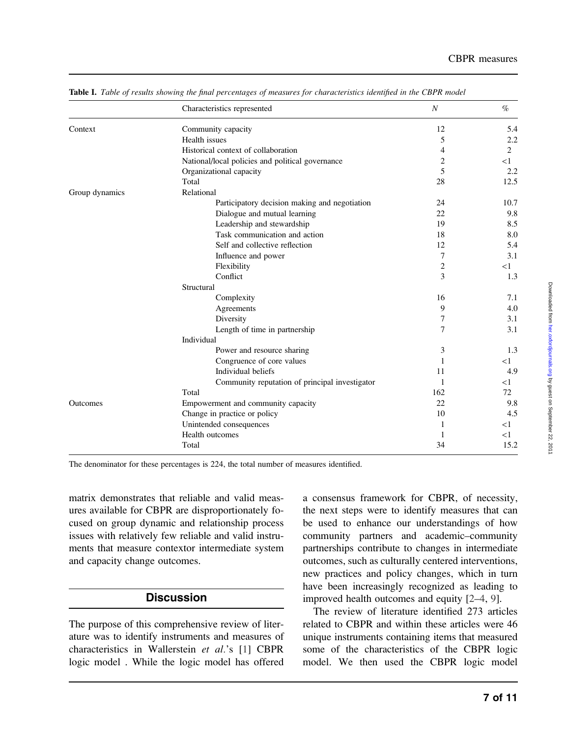|                 | Characteristics represented                      | N   | $\%$  |
|-----------------|--------------------------------------------------|-----|-------|
| Context         | Community capacity                               | 12  | 5.4   |
|                 | Health issues                                    | 5   | 2.2   |
|                 | Historical context of collaboration              | 4   | 2     |
|                 | National/local policies and political governance | 2   | $<$ 1 |
|                 | Organizational capacity                          | 5   | 2.2   |
|                 | Total                                            | 28  | 12.5  |
| Group dynamics  | Relational                                       |     |       |
|                 | Participatory decision making and negotiation    | 24  | 10.7  |
|                 | Dialogue and mutual learning                     | 22  | 9.8   |
|                 | Leadership and stewardship                       | 19  | 8.5   |
|                 | Task communication and action                    | 18  | 8.0   |
|                 | Self and collective reflection                   | 12  | 5.4   |
|                 | Influence and power                              | 7   | 3.1   |
|                 | Flexibility                                      | 2   | $<$ 1 |
|                 | Conflict                                         | 3   | 1.3   |
|                 | Structural                                       |     |       |
|                 | Complexity                                       | 16  | 7.1   |
|                 | Agreements                                       | 9   | 4.0   |
|                 | Diversity                                        | 7   | 3.1   |
|                 | Length of time in partnership                    | 7   | 3.1   |
|                 | Individual                                       |     |       |
|                 | Power and resource sharing                       | 3   | 1.3   |
|                 | Congruence of core values                        | 1   | $<$ 1 |
|                 | Individual beliefs                               | 11  | 4.9   |
|                 | Community reputation of principal investigator   | 1   | $<$ 1 |
|                 | Total                                            | 162 | 72    |
| <b>Outcomes</b> | Empowerment and community capacity               | 22  | 9.8   |
|                 | Change in practice or policy                     | 10  | 4.5   |
|                 | Unintended consequences                          | 1   | $<$ 1 |
|                 | Health outcomes                                  | 1   | $<$ 1 |
|                 | Total                                            | 34  | 15.2  |

<span id="page-6-0"></span>Table I. Table of results showing the final percentages of measures for characteristics identified in the CBPR model

The denominator for these percentages is 224, the total number of measures identified.

matrix demonstrates that reliable and valid measures available for CBPR are disproportionately focused on group dynamic and relationship process issues with relatively few reliable and valid instruments that measure contextor intermediate system and capacity change outcomes.

# **Discussion**

The purpose of this comprehensive review of literature was to identify instruments and measures of characteristics in Wallerstein et al.'s [\[1](#page-9-0)] CBPR logic model . While the logic model has offered a consensus framework for CBPR, of necessity, the next steps were to identify measures that can be used to enhance our understandings of how community partners and academic–community partnerships contribute to changes in intermediate outcomes, such as culturally centered interventions, new practices and policy changes, which in turn have been increasingly recognized as leading to improved health outcomes and equity [[2–](#page-9-0)[4,](#page-10-0) [9](#page-10-0)].

The review of literature identified 273 articles related to CBPR and within these articles were 46 unique instruments containing items that measured some of the characteristics of the CBPR logic model. We then used the CBPR logic model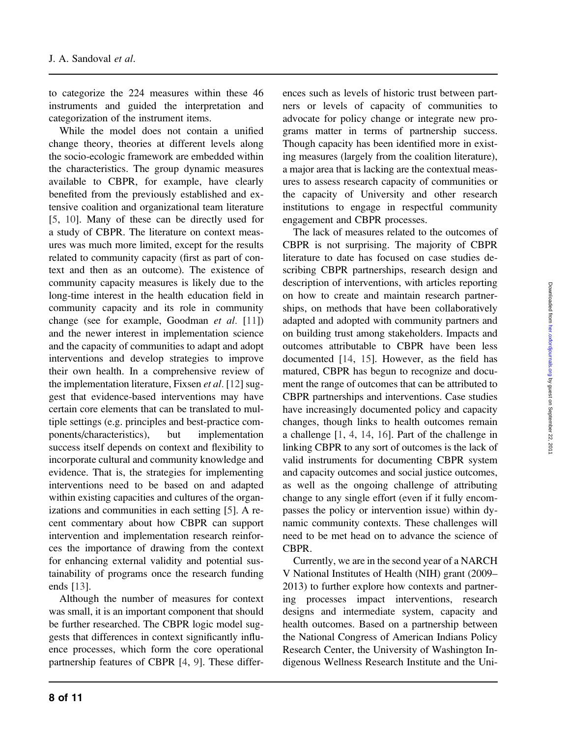to categorize the 224 measures within these 46 instruments and guided the interpretation and categorization of the instrument items.

While the model does not contain a unified change theory, theories at different levels along the socio-ecologic framework are embedded within the characteristics. The group dynamic measures available to CBPR, for example, have clearly benefited from the previously established and extensive coalition and organizational team literature [\[5](#page-10-0), [10\]](#page-10-0). Many of these can be directly used for a study of CBPR. The literature on context measures was much more limited, except for the results related to community capacity (first as part of context and then as an outcome). The existence of community capacity measures is likely due to the long-time interest in the health education field in community capacity and its role in community change (see for example, Goodman et al. [[11\]](#page-10-0)) and the newer interest in implementation science and the capacity of communities to adapt and adopt interventions and develop strategies to improve their own health. In a comprehensive review of the implementation literature, Fixsen et al. [\[12](#page-10-0)] suggest that evidence-based interventions may have certain core elements that can be translated to multiple settings (e.g. principles and best-practice components/characteristics), but implementation success itself depends on context and flexibility to incorporate cultural and community knowledge and evidence. That is, the strategies for implementing interventions need to be based on and adapted within existing capacities and cultures of the organizations and communities in each setting [[5\]](#page-10-0). A recent commentary about how CBPR can support intervention and implementation research reinforces the importance of drawing from the context for enhancing external validity and potential sustainability of programs once the research funding ends [[13\]](#page-10-0).

Although the number of measures for context was small, it is an important component that should be further researched. The CBPR logic model suggests that differences in context significantly influence processes, which form the core operational partnership features of CBPR [\[4](#page-10-0), [9](#page-10-0)]. These differences such as levels of historic trust between partners or levels of capacity of communities to advocate for policy change or integrate new programs matter in terms of partnership success. Though capacity has been identified more in existing measures (largely from the coalition literature), a major area that is lacking are the contextual measures to assess research capacity of communities or the capacity of University and other research institutions to engage in respectful community engagement and CBPR processes.

The lack of measures related to the outcomes of CBPR is not surprising. The majority of CBPR literature to date has focused on case studies describing CBPR partnerships, research design and description of interventions, with articles reporting on how to create and maintain research partnerships, on methods that have been collaboratively adapted and adopted with community partners and on building trust among stakeholders. Impacts and outcomes attributable to CBPR have been less documented [[14,](#page-10-0) [15](#page-10-0)]. However, as the field has matured, CBPR has begun to recognize and document the range of outcomes that can be attributed to CBPR partnerships and interventions. Case studies have increasingly documented policy and capacity changes, though links to health outcomes remain a challenge [\[1](#page-9-0), [4](#page-10-0), [14,](#page-10-0) [16\]](#page-10-0). Part of the challenge in linking CBPR to any sort of outcomes is the lack of valid instruments for documenting CBPR system and capacity outcomes and social justice outcomes, as well as the ongoing challenge of attributing change to any single effort (even if it fully encompasses the policy or intervention issue) within dynamic community contexts. These challenges will need to be met head on to advance the science of **CBPR** 

Currently, we are in the second year of a NARCH V National Institutes of Health (NIH) grant (2009– 2013) to further explore how contexts and partnering processes impact interventions, research designs and intermediate system, capacity and health outcomes. Based on a partnership between the National Congress of American Indians Policy Research Center, the University of Washington Indigenous Wellness Research Institute and the Uni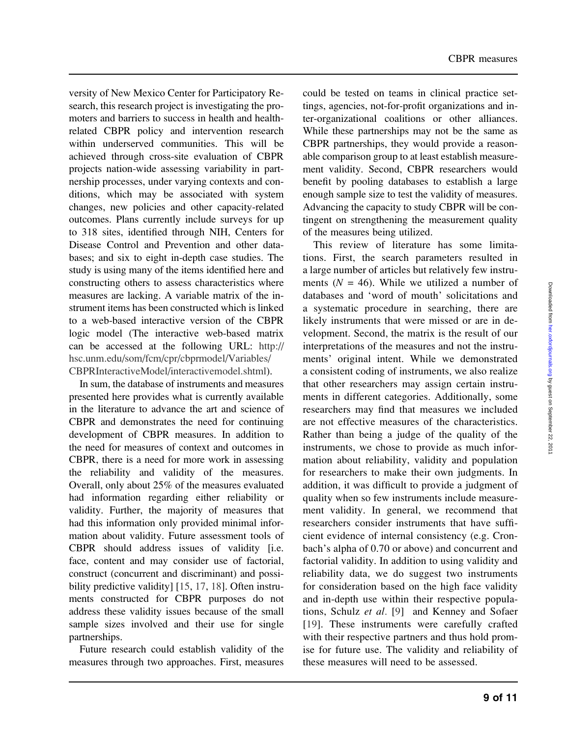versity of New Mexico Center for Participatory Research, this research project is investigating the promoters and barriers to success in health and healthrelated CBPR policy and intervention research within underserved communities. This will be achieved through cross-site evaluation of CBPR projects nation-wide assessing variability in partnership processes, under varying contexts and conditions, which may be associated with system changes, new policies and other capacity-related outcomes. Plans currently include surveys for up to 318 sites, identified through NIH, Centers for Disease Control and Prevention and other databases; and six to eight in-depth case studies. The study is using many of the items identified here and constructing others to assess characteristics where measures are lacking. A variable matrix of the instrument items has been constructed which is linked to a web-based interactive version of the CBPR logic model (The interactive web-based matrix can be accessed at the following URL: [http://](http://hsc.unm.edu/som/fcm/cpr/cbprmodel/Variables/CBPRInteractiveModel/interactivemodel.shtml) [hsc.unm.edu/som/fcm/cpr/cbprmodel/Variables/](http://hsc.unm.edu/som/fcm/cpr/cbprmodel/Variables/CBPRInteractiveModel/interactivemodel.shtml) [CBPRInteractiveModel/interactivemodel.shtml\)](http://hsc.unm.edu/som/fcm/cpr/cbprmodel/Variables/CBPRInteractiveModel/interactivemodel.shtml).

In sum, the database of instruments and measures presented here provides what is currently available in the literature to advance the art and science of CBPR and demonstrates the need for continuing development of CBPR measures. In addition to the need for measures of context and outcomes in CBPR, there is a need for more work in assessing the reliability and validity of the measures. Overall, only about 25% of the measures evaluated had information regarding either reliability or validity. Further, the majority of measures that had this information only provided minimal information about validity. Future assessment tools of CBPR should address issues of validity [i.e. face, content and may consider use of factorial, construct (concurrent and discriminant) and possi-bility predictive validity] [[15,](#page-10-0) [17,](#page-10-0) [18\]](#page-10-0). Often instruments constructed for CBPR purposes do not address these validity issues because of the small sample sizes involved and their use for single partnerships.

Future research could establish validity of the measures through two approaches. First, measures could be tested on teams in clinical practice settings, agencies, not-for-profit organizations and inter-organizational coalitions or other alliances. While these partnerships may not be the same as CBPR partnerships, they would provide a reasonable comparison group to at least establish measurement validity. Second, CBPR researchers would benefit by pooling databases to establish a large enough sample size to test the validity of measures. Advancing the capacity to study CBPR will be contingent on strengthening the measurement quality of the measures being utilized.

This review of literature has some limitations. First, the search parameters resulted in a large number of articles but relatively few instruments ( $N = 46$ ). While we utilized a number of databases and 'word of mouth' solicitations and a systematic procedure in searching, there are likely instruments that were missed or are in development. Second, the matrix is the result of our interpretations of the measures and not the instruments' original intent. While we demonstrated a consistent coding of instruments, we also realize that other researchers may assign certain instruments in different categories. Additionally, some researchers may find that measures we included are not effective measures of the characteristics. Rather than being a judge of the quality of the instruments, we chose to provide as much information about reliability, validity and population for researchers to make their own judgments. In addition, it was difficult to provide a judgment of quality when so few instruments include measurement validity. In general, we recommend that researchers consider instruments that have sufficient evidence of internal consistency (e.g. Cronbach's alpha of 0.70 or above) and concurrent and factorial validity. In addition to using validity and reliability data, we do suggest two instruments for consideration based on the high face validity and in-depth use within their respective populations, Schulz et al. [[9\]](#page-10-0) and Kenney and Sofaer [[19\]](#page-10-0). These instruments were carefully crafted with their respective partners and thus hold promise for future use. The validity and reliability of these measures will need to be assessed.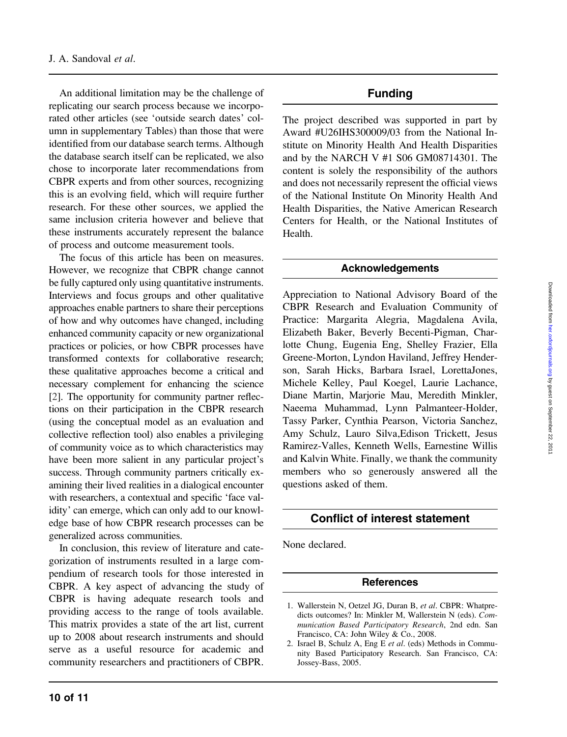<span id="page-9-0"></span>An additional limitation may be the challenge of replicating our search process because we incorporated other articles (see 'outside search dates' column in supplementary Tables) than those that were identified from our database search terms. Although the database search itself can be replicated, we also chose to incorporate later recommendations from CBPR experts and from other sources, recognizing this is an evolving field, which will require further research. For these other sources, we applied the same inclusion criteria however and believe that these instruments accurately represent the balance of process and outcome measurement tools.

The focus of this article has been on measures. However, we recognize that CBPR change cannot be fully captured only using quantitative instruments. Interviews and focus groups and other qualitative approaches enable partners to share their perceptions of how and why outcomes have changed, including enhanced community capacity or new organizational practices or policies, or how CBPR processes have transformed contexts for collaborative research; these qualitative approaches become a critical and necessary complement for enhancing the science [2]. The opportunity for community partner reflections on their participation in the CBPR research (using the conceptual model as an evaluation and collective reflection tool) also enables a privileging of community voice as to which characteristics may have been more salient in any particular project's success. Through community partners critically examining their lived realities in a dialogical encounter with researchers, a contextual and specific 'face validity' can emerge, which can only add to our knowledge base of how CBPR research processes can be generalized across communities.

In conclusion, this review of literature and categorization of instruments resulted in a large compendium of research tools for those interested in CBPR. A key aspect of advancing the study of CBPR is having adequate research tools and providing access to the range of tools available. This matrix provides a state of the art list, current up to 2008 about research instruments and should serve as a useful resource for academic and community researchers and practitioners of CBPR.

## Funding

The project described was supported in part by Award #U26IHS300009/03 from the National Institute on Minority Health And Health Disparities and by the NARCH V #1 S06 GM08714301. The content is solely the responsibility of the authors and does not necessarily represent the official views of the National Institute On Minority Health And Health Disparities, the Native American Research Centers for Health, or the National Institutes of Health.

#### Acknowledgements

Appreciation to National Advisory Board of the CBPR Research and Evaluation Community of Practice: Margarita Alegria, Magdalena Avila, Elizabeth Baker, Beverly Becenti-Pigman, Charlotte Chung, Eugenia Eng, Shelley Frazier, Ella Greene-Morton, Lyndon Haviland, Jeffrey Henderson, Sarah Hicks, Barbara Israel, LorettaJones, Michele Kelley, Paul Koegel, Laurie Lachance, Diane Martin, Marjorie Mau, Meredith Minkler, Naeema Muhammad, Lynn Palmanteer-Holder, Tassy Parker, Cynthia Pearson, Victoria Sanchez, Amy Schulz, Lauro Silva,Edison Trickett, Jesus Ramirez-Valles, Kenneth Wells, Earnestine Willis and Kalvin White. Finally, we thank the community members who so generously answered all the questions asked of them.

## Conflict of interest statement

None declared.

#### References

<sup>1.</sup> Wallerstein N, Oetzel JG, Duran B, et al. CBPR: Whatpredicts outcomes? In: Minkler M, Wallerstein N (eds). Communication Based Participatory Research, 2nd edn. San Francisco, CA: John Wiley & Co., 2008.

<sup>2.</sup> Israel B, Schulz A, Eng E et al. (eds) Methods in Community Based Participatory Research. San Francisco, CA: Jossey-Bass, 2005.